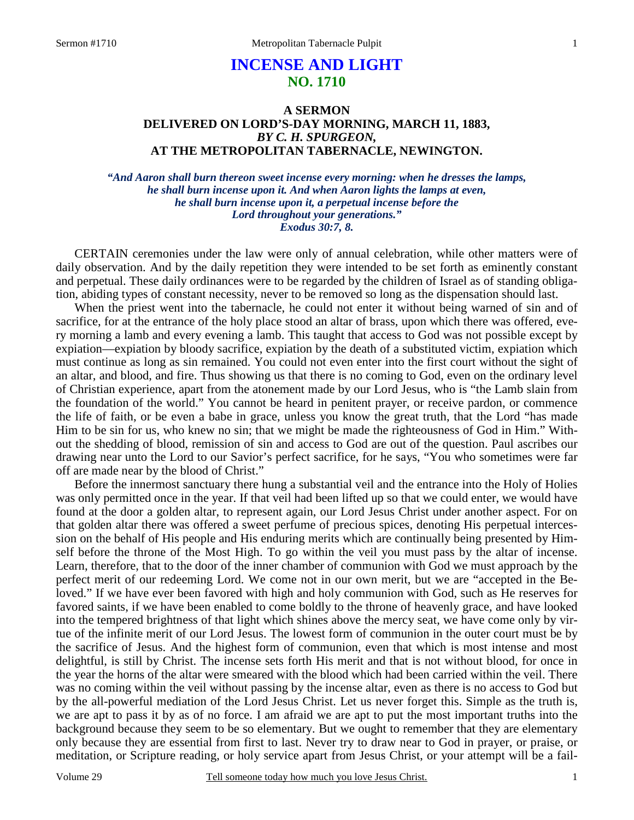# **INCENSE AND LIGHT NO. 1710**

## **A SERMON DELIVERED ON LORD'S-DAY MORNING, MARCH 11, 1883,**  *BY C. H. SPURGEON,*  **AT THE METROPOLITAN TABERNACLE, NEWINGTON.**

*"And Aaron shall burn thereon sweet incense every morning: when he dresses the lamps, he shall burn incense upon it. And when Aaron lights the lamps at even, he shall burn incense upon it, a perpetual incense before the Lord throughout your generations." Exodus 30:7, 8.* 

CERTAIN ceremonies under the law were only of annual celebration, while other matters were of daily observation. And by the daily repetition they were intended to be set forth as eminently constant and perpetual. These daily ordinances were to be regarded by the children of Israel as of standing obligation, abiding types of constant necessity, never to be removed so long as the dispensation should last.

When the priest went into the tabernacle, he could not enter it without being warned of sin and of sacrifice, for at the entrance of the holy place stood an altar of brass, upon which there was offered, every morning a lamb and every evening a lamb. This taught that access to God was not possible except by expiation—expiation by bloody sacrifice, expiation by the death of a substituted victim, expiation which must continue as long as sin remained. You could not even enter into the first court without the sight of an altar, and blood, and fire. Thus showing us that there is no coming to God, even on the ordinary level of Christian experience, apart from the atonement made by our Lord Jesus, who is "the Lamb slain from the foundation of the world." You cannot be heard in penitent prayer, or receive pardon, or commence the life of faith, or be even a babe in grace, unless you know the great truth, that the Lord "has made Him to be sin for us, who knew no sin; that we might be made the righteousness of God in Him." Without the shedding of blood, remission of sin and access to God are out of the question. Paul ascribes our drawing near unto the Lord to our Savior's perfect sacrifice, for he says, "You who sometimes were far off are made near by the blood of Christ."

 Before the innermost sanctuary there hung a substantial veil and the entrance into the Holy of Holies was only permitted once in the year. If that veil had been lifted up so that we could enter, we would have found at the door a golden altar, to represent again, our Lord Jesus Christ under another aspect. For on that golden altar there was offered a sweet perfume of precious spices, denoting His perpetual intercession on the behalf of His people and His enduring merits which are continually being presented by Himself before the throne of the Most High. To go within the veil you must pass by the altar of incense. Learn, therefore, that to the door of the inner chamber of communion with God we must approach by the perfect merit of our redeeming Lord. We come not in our own merit, but we are "accepted in the Beloved." If we have ever been favored with high and holy communion with God, such as He reserves for favored saints, if we have been enabled to come boldly to the throne of heavenly grace, and have looked into the tempered brightness of that light which shines above the mercy seat, we have come only by virtue of the infinite merit of our Lord Jesus. The lowest form of communion in the outer court must be by the sacrifice of Jesus. And the highest form of communion, even that which is most intense and most delightful, is still by Christ. The incense sets forth His merit and that is not without blood, for once in the year the horns of the altar were smeared with the blood which had been carried within the veil. There was no coming within the veil without passing by the incense altar, even as there is no access to God but by the all-powerful mediation of the Lord Jesus Christ. Let us never forget this. Simple as the truth is, we are apt to pass it by as of no force. I am afraid we are apt to put the most important truths into the background because they seem to be so elementary. But we ought to remember that they are elementary only because they are essential from first to last. Never try to draw near to God in prayer, or praise, or meditation, or Scripture reading, or holy service apart from Jesus Christ, or your attempt will be a fail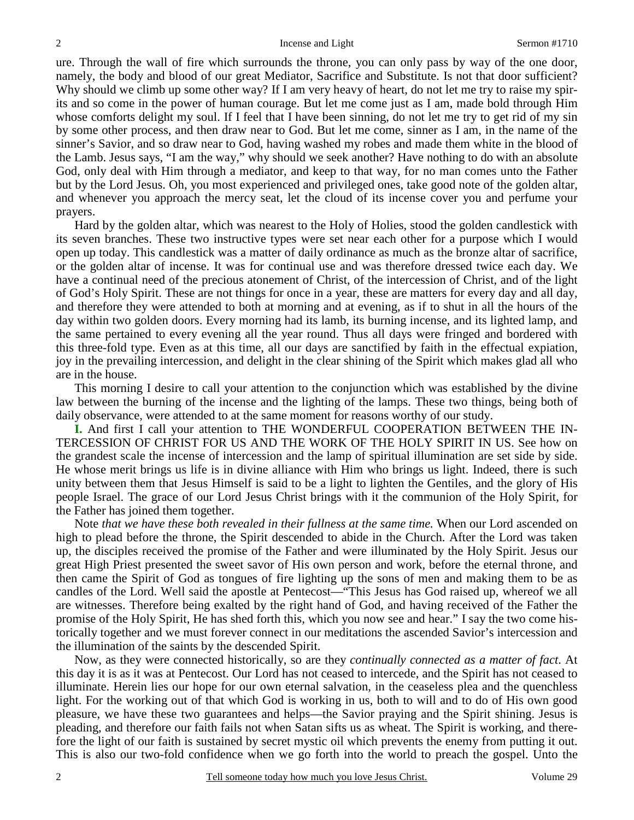ure. Through the wall of fire which surrounds the throne, you can only pass by way of the one door, namely, the body and blood of our great Mediator, Sacrifice and Substitute. Is not that door sufficient? Why should we climb up some other way? If I am very heavy of heart, do not let me try to raise my spirits and so come in the power of human courage. But let me come just as I am, made bold through Him whose comforts delight my soul. If I feel that I have been sinning, do not let me try to get rid of my sin by some other process, and then draw near to God. But let me come, sinner as I am, in the name of the sinner's Savior, and so draw near to God, having washed my robes and made them white in the blood of the Lamb. Jesus says, "I am the way," why should we seek another? Have nothing to do with an absolute God, only deal with Him through a mediator, and keep to that way, for no man comes unto the Father but by the Lord Jesus. Oh, you most experienced and privileged ones, take good note of the golden altar, and whenever you approach the mercy seat, let the cloud of its incense cover you and perfume your prayers.

 Hard by the golden altar, which was nearest to the Holy of Holies, stood the golden candlestick with its seven branches. These two instructive types were set near each other for a purpose which I would open up today. This candlestick was a matter of daily ordinance as much as the bronze altar of sacrifice, or the golden altar of incense. It was for continual use and was therefore dressed twice each day. We have a continual need of the precious atonement of Christ, of the intercession of Christ, and of the light of God's Holy Spirit. These are not things for once in a year, these are matters for every day and all day, and therefore they were attended to both at morning and at evening, as if to shut in all the hours of the day within two golden doors. Every morning had its lamb, its burning incense, and its lighted lamp, and the same pertained to every evening all the year round. Thus all days were fringed and bordered with this three-fold type. Even as at this time, all our days are sanctified by faith in the effectual expiation, joy in the prevailing intercession, and delight in the clear shining of the Spirit which makes glad all who are in the house.

 This morning I desire to call your attention to the conjunction which was established by the divine law between the burning of the incense and the lighting of the lamps. These two things, being both of daily observance, were attended to at the same moment for reasons worthy of our study.

**I.** And first I call your attention to THE WONDERFUL COOPERATION BETWEEN THE IN-TERCESSION OF CHRIST FOR US AND THE WORK OF THE HOLY SPIRIT IN US. See how on the grandest scale the incense of intercession and the lamp of spiritual illumination are set side by side. He whose merit brings us life is in divine alliance with Him who brings us light. Indeed, there is such unity between them that Jesus Himself is said to be a light to lighten the Gentiles, and the glory of His people Israel. The grace of our Lord Jesus Christ brings with it the communion of the Holy Spirit, for the Father has joined them together.

 Note *that we have these both revealed in their fullness at the same time.* When our Lord ascended on high to plead before the throne, the Spirit descended to abide in the Church. After the Lord was taken up, the disciples received the promise of the Father and were illuminated by the Holy Spirit. Jesus our great High Priest presented the sweet savor of His own person and work, before the eternal throne, and then came the Spirit of God as tongues of fire lighting up the sons of men and making them to be as candles of the Lord. Well said the apostle at Pentecost—"This Jesus has God raised up, whereof we all are witnesses. Therefore being exalted by the right hand of God, and having received of the Father the promise of the Holy Spirit, He has shed forth this, which you now see and hear." I say the two come historically together and we must forever connect in our meditations the ascended Savior's intercession and the illumination of the saints by the descended Spirit.

 Now, as they were connected historically, so are they *continually connected as a matter of fact*. At this day it is as it was at Pentecost. Our Lord has not ceased to intercede, and the Spirit has not ceased to illuminate. Herein lies our hope for our own eternal salvation, in the ceaseless plea and the quenchless light. For the working out of that which God is working in us, both to will and to do of His own good pleasure, we have these two guarantees and helps—the Savior praying and the Spirit shining. Jesus is pleading, and therefore our faith fails not when Satan sifts us as wheat. The Spirit is working, and therefore the light of our faith is sustained by secret mystic oil which prevents the enemy from putting it out. This is also our two-fold confidence when we go forth into the world to preach the gospel. Unto the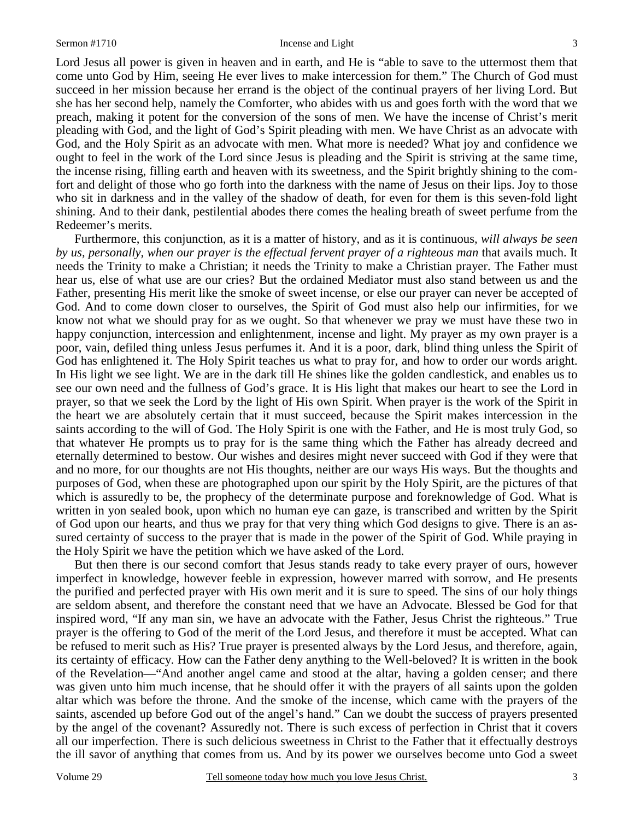#### Sermon #1710 Incense and Light 3

Lord Jesus all power is given in heaven and in earth, and He is "able to save to the uttermost them that come unto God by Him, seeing He ever lives to make intercession for them." The Church of God must succeed in her mission because her errand is the object of the continual prayers of her living Lord. But she has her second help, namely the Comforter, who abides with us and goes forth with the word that we preach, making it potent for the conversion of the sons of men. We have the incense of Christ's merit pleading with God, and the light of God's Spirit pleading with men. We have Christ as an advocate with God, and the Holy Spirit as an advocate with men. What more is needed? What joy and confidence we ought to feel in the work of the Lord since Jesus is pleading and the Spirit is striving at the same time, the incense rising, filling earth and heaven with its sweetness, and the Spirit brightly shining to the comfort and delight of those who go forth into the darkness with the name of Jesus on their lips. Joy to those who sit in darkness and in the valley of the shadow of death, for even for them is this seven-fold light shining. And to their dank, pestilential abodes there comes the healing breath of sweet perfume from the Redeemer's merits.

 Furthermore, this conjunction, as it is a matter of history, and as it is continuous*, will always be seen by us, personally, when our prayer is the effectual fervent prayer of a righteous man* that avails much. It needs the Trinity to make a Christian; it needs the Trinity to make a Christian prayer. The Father must hear us, else of what use are our cries? But the ordained Mediator must also stand between us and the Father, presenting His merit like the smoke of sweet incense, or else our prayer can never be accepted of God. And to come down closer to ourselves, the Spirit of God must also help our infirmities, for we know not what we should pray for as we ought. So that whenever we pray we must have these two in happy conjunction, intercession and enlightenment, incense and light. My prayer as my own prayer is a poor, vain, defiled thing unless Jesus perfumes it. And it is a poor, dark, blind thing unless the Spirit of God has enlightened it. The Holy Spirit teaches us what to pray for, and how to order our words aright. In His light we see light. We are in the dark till He shines like the golden candlestick, and enables us to see our own need and the fullness of God's grace. It is His light that makes our heart to see the Lord in prayer, so that we seek the Lord by the light of His own Spirit. When prayer is the work of the Spirit in the heart we are absolutely certain that it must succeed, because the Spirit makes intercession in the saints according to the will of God. The Holy Spirit is one with the Father, and He is most truly God, so that whatever He prompts us to pray for is the same thing which the Father has already decreed and eternally determined to bestow. Our wishes and desires might never succeed with God if they were that and no more, for our thoughts are not His thoughts, neither are our ways His ways. But the thoughts and purposes of God, when these are photographed upon our spirit by the Holy Spirit, are the pictures of that which is assuredly to be, the prophecy of the determinate purpose and foreknowledge of God. What is written in yon sealed book, upon which no human eye can gaze, is transcribed and written by the Spirit of God upon our hearts, and thus we pray for that very thing which God designs to give. There is an assured certainty of success to the prayer that is made in the power of the Spirit of God. While praying in the Holy Spirit we have the petition which we have asked of the Lord.

 But then there is our second comfort that Jesus stands ready to take every prayer of ours, however imperfect in knowledge, however feeble in expression, however marred with sorrow, and He presents the purified and perfected prayer with His own merit and it is sure to speed. The sins of our holy things are seldom absent, and therefore the constant need that we have an Advocate. Blessed be God for that inspired word, "If any man sin, we have an advocate with the Father, Jesus Christ the righteous." True prayer is the offering to God of the merit of the Lord Jesus, and therefore it must be accepted. What can be refused to merit such as His? True prayer is presented always by the Lord Jesus, and therefore, again, its certainty of efficacy. How can the Father deny anything to the Well-beloved? It is written in the book of the Revelation—"And another angel came and stood at the altar, having a golden censer; and there was given unto him much incense, that he should offer it with the prayers of all saints upon the golden altar which was before the throne. And the smoke of the incense, which came with the prayers of the saints, ascended up before God out of the angel's hand." Can we doubt the success of prayers presented by the angel of the covenant? Assuredly not. There is such excess of perfection in Christ that it covers all our imperfection. There is such delicious sweetness in Christ to the Father that it effectually destroys the ill savor of anything that comes from us. And by its power we ourselves become unto God a sweet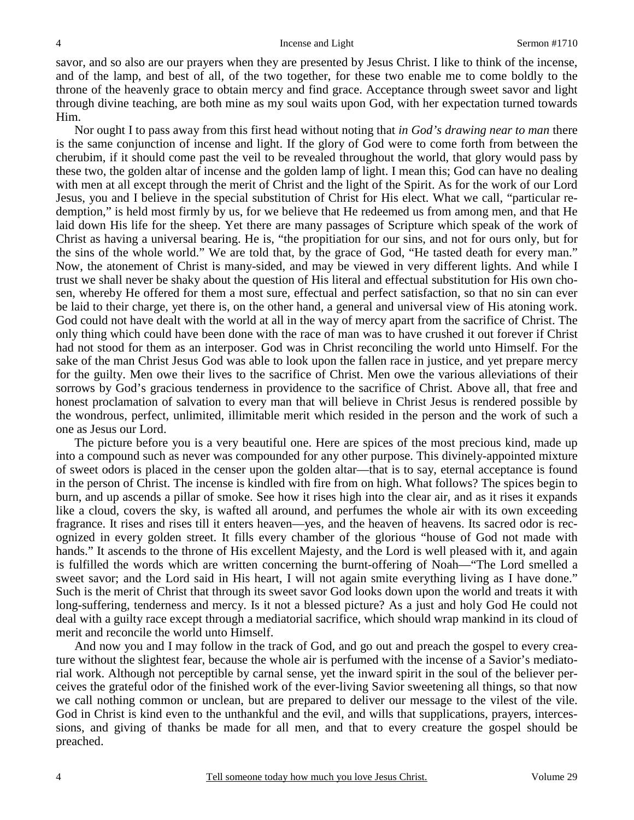savor, and so also are our prayers when they are presented by Jesus Christ. I like to think of the incense, and of the lamp, and best of all, of the two together, for these two enable me to come boldly to the throne of the heavenly grace to obtain mercy and find grace. Acceptance through sweet savor and light through divine teaching, are both mine as my soul waits upon God, with her expectation turned towards Him.

 Nor ought I to pass away from this first head without noting that *in God's drawing near to man* there is the same conjunction of incense and light. If the glory of God were to come forth from between the cherubim, if it should come past the veil to be revealed throughout the world, that glory would pass by these two, the golden altar of incense and the golden lamp of light. I mean this; God can have no dealing with men at all except through the merit of Christ and the light of the Spirit. As for the work of our Lord Jesus, you and I believe in the special substitution of Christ for His elect. What we call, "particular redemption," is held most firmly by us, for we believe that He redeemed us from among men, and that He laid down His life for the sheep. Yet there are many passages of Scripture which speak of the work of Christ as having a universal bearing. He is, "the propitiation for our sins, and not for ours only, but for the sins of the whole world." We are told that, by the grace of God, "He tasted death for every man." Now, the atonement of Christ is many-sided, and may be viewed in very different lights. And while I trust we shall never be shaky about the question of His literal and effectual substitution for His own chosen, whereby He offered for them a most sure, effectual and perfect satisfaction, so that no sin can ever be laid to their charge, yet there is, on the other hand, a general and universal view of His atoning work. God could not have dealt with the world at all in the way of mercy apart from the sacrifice of Christ. The only thing which could have been done with the race of man was to have crushed it out forever if Christ had not stood for them as an interposer. God was in Christ reconciling the world unto Himself. For the sake of the man Christ Jesus God was able to look upon the fallen race in justice, and yet prepare mercy for the guilty. Men owe their lives to the sacrifice of Christ. Men owe the various alleviations of their sorrows by God's gracious tenderness in providence to the sacrifice of Christ. Above all, that free and honest proclamation of salvation to every man that will believe in Christ Jesus is rendered possible by the wondrous, perfect, unlimited, illimitable merit which resided in the person and the work of such a one as Jesus our Lord.

 The picture before you is a very beautiful one. Here are spices of the most precious kind, made up into a compound such as never was compounded for any other purpose. This divinely-appointed mixture of sweet odors is placed in the censer upon the golden altar—that is to say, eternal acceptance is found in the person of Christ. The incense is kindled with fire from on high. What follows? The spices begin to burn, and up ascends a pillar of smoke. See how it rises high into the clear air, and as it rises it expands like a cloud, covers the sky, is wafted all around, and perfumes the whole air with its own exceeding fragrance. It rises and rises till it enters heaven—yes, and the heaven of heavens. Its sacred odor is recognized in every golden street. It fills every chamber of the glorious "house of God not made with hands." It ascends to the throne of His excellent Majesty, and the Lord is well pleased with it, and again is fulfilled the words which are written concerning the burnt-offering of Noah—"The Lord smelled a sweet savor; and the Lord said in His heart, I will not again smite everything living as I have done." Such is the merit of Christ that through its sweet savor God looks down upon the world and treats it with long-suffering, tenderness and mercy. Is it not a blessed picture? As a just and holy God He could not deal with a guilty race except through a mediatorial sacrifice, which should wrap mankind in its cloud of merit and reconcile the world unto Himself.

 And now you and I may follow in the track of God, and go out and preach the gospel to every creature without the slightest fear, because the whole air is perfumed with the incense of a Savior's mediatorial work. Although not perceptible by carnal sense, yet the inward spirit in the soul of the believer perceives the grateful odor of the finished work of the ever-living Savior sweetening all things, so that now we call nothing common or unclean, but are prepared to deliver our message to the vilest of the vile. God in Christ is kind even to the unthankful and the evil, and wills that supplications, prayers, intercessions, and giving of thanks be made for all men, and that to every creature the gospel should be preached.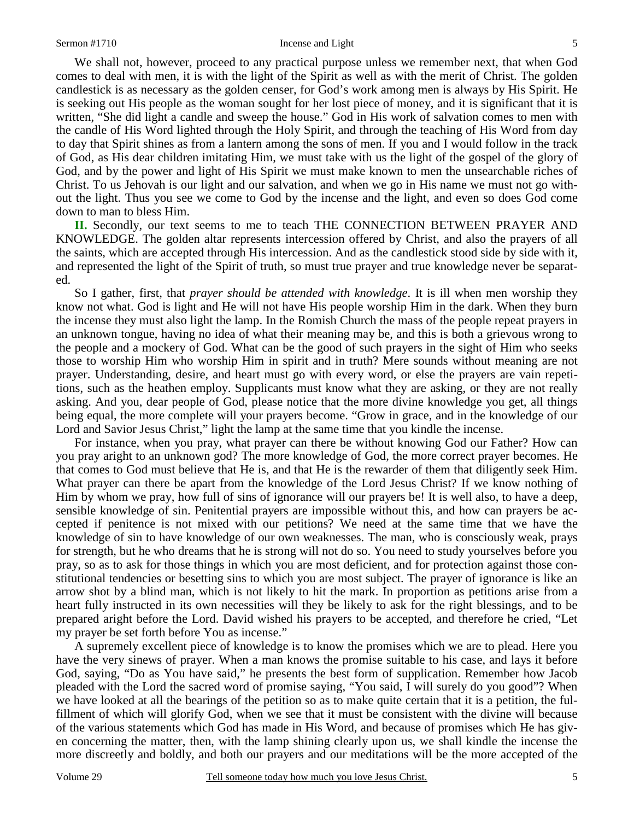We shall not, however, proceed to any practical purpose unless we remember next, that when God comes to deal with men, it is with the light of the Spirit as well as with the merit of Christ. The golden candlestick is as necessary as the golden censer, for God's work among men is always by His Spirit. He is seeking out His people as the woman sought for her lost piece of money, and it is significant that it is written, "She did light a candle and sweep the house." God in His work of salvation comes to men with the candle of His Word lighted through the Holy Spirit, and through the teaching of His Word from day to day that Spirit shines as from a lantern among the sons of men. If you and I would follow in the track of God, as His dear children imitating Him, we must take with us the light of the gospel of the glory of God, and by the power and light of His Spirit we must make known to men the unsearchable riches of Christ. To us Jehovah is our light and our salvation, and when we go in His name we must not go without the light. Thus you see we come to God by the incense and the light, and even so does God come down to man to bless Him.

**II.** Secondly, our text seems to me to teach THE CONNECTION BETWEEN PRAYER AND KNOWLEDGE. The golden altar represents intercession offered by Christ, and also the prayers of all the saints, which are accepted through His intercession. And as the candlestick stood side by side with it, and represented the light of the Spirit of truth, so must true prayer and true knowledge never be separated.

 So I gather, first, that *prayer should be attended with knowledge*. It is ill when men worship they know not what. God is light and He will not have His people worship Him in the dark. When they burn the incense they must also light the lamp. In the Romish Church the mass of the people repeat prayers in an unknown tongue, having no idea of what their meaning may be, and this is both a grievous wrong to the people and a mockery of God. What can be the good of such prayers in the sight of Him who seeks those to worship Him who worship Him in spirit and in truth? Mere sounds without meaning are not prayer. Understanding, desire, and heart must go with every word, or else the prayers are vain repetitions, such as the heathen employ. Supplicants must know what they are asking, or they are not really asking. And you, dear people of God, please notice that the more divine knowledge you get, all things being equal, the more complete will your prayers become. "Grow in grace, and in the knowledge of our Lord and Savior Jesus Christ," light the lamp at the same time that you kindle the incense.

 For instance, when you pray, what prayer can there be without knowing God our Father? How can you pray aright to an unknown god? The more knowledge of God, the more correct prayer becomes. He that comes to God must believe that He is, and that He is the rewarder of them that diligently seek Him. What prayer can there be apart from the knowledge of the Lord Jesus Christ? If we know nothing of Him by whom we pray, how full of sins of ignorance will our prayers be! It is well also, to have a deep, sensible knowledge of sin. Penitential prayers are impossible without this, and how can prayers be accepted if penitence is not mixed with our petitions? We need at the same time that we have the knowledge of sin to have knowledge of our own weaknesses. The man, who is consciously weak, prays for strength, but he who dreams that he is strong will not do so. You need to study yourselves before you pray, so as to ask for those things in which you are most deficient, and for protection against those constitutional tendencies or besetting sins to which you are most subject. The prayer of ignorance is like an arrow shot by a blind man, which is not likely to hit the mark. In proportion as petitions arise from a heart fully instructed in its own necessities will they be likely to ask for the right blessings, and to be prepared aright before the Lord. David wished his prayers to be accepted, and therefore he cried, "Let my prayer be set forth before You as incense."

 A supremely excellent piece of knowledge is to know the promises which we are to plead. Here you have the very sinews of prayer. When a man knows the promise suitable to his case, and lays it before God, saying, "Do as You have said," he presents the best form of supplication. Remember how Jacob pleaded with the Lord the sacred word of promise saying, "You said, I will surely do you good"? When we have looked at all the bearings of the petition so as to make quite certain that it is a petition, the fulfillment of which will glorify God, when we see that it must be consistent with the divine will because of the various statements which God has made in His Word, and because of promises which He has given concerning the matter, then, with the lamp shining clearly upon us, we shall kindle the incense the more discreetly and boldly, and both our prayers and our meditations will be the more accepted of the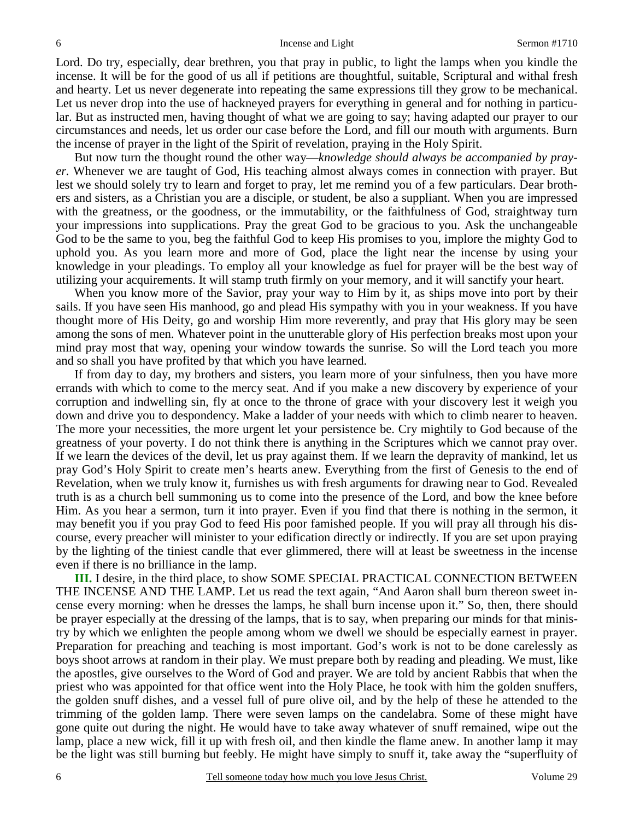Lord. Do try, especially, dear brethren, you that pray in public, to light the lamps when you kindle the incense. It will be for the good of us all if petitions are thoughtful, suitable, Scriptural and withal fresh and hearty. Let us never degenerate into repeating the same expressions till they grow to be mechanical. Let us never drop into the use of hackneyed prayers for everything in general and for nothing in particular. But as instructed men, having thought of what we are going to say; having adapted our prayer to our circumstances and needs, let us order our case before the Lord, and fill our mouth with arguments. Burn the incense of prayer in the light of the Spirit of revelation, praying in the Holy Spirit.

 But now turn the thought round the other way—*knowledge should always be accompanied by prayer.* Whenever we are taught of God, His teaching almost always comes in connection with prayer. But lest we should solely try to learn and forget to pray, let me remind you of a few particulars. Dear brothers and sisters, as a Christian you are a disciple, or student, be also a suppliant. When you are impressed with the greatness, or the goodness, or the immutability, or the faithfulness of God, straightway turn your impressions into supplications. Pray the great God to be gracious to you. Ask the unchangeable God to be the same to you, beg the faithful God to keep His promises to you, implore the mighty God to uphold you. As you learn more and more of God, place the light near the incense by using your knowledge in your pleadings. To employ all your knowledge as fuel for prayer will be the best way of utilizing your acquirements. It will stamp truth firmly on your memory, and it will sanctify your heart.

 When you know more of the Savior, pray your way to Him by it, as ships move into port by their sails. If you have seen His manhood, go and plead His sympathy with you in your weakness. If you have thought more of His Deity, go and worship Him more reverently, and pray that His glory may be seen among the sons of men. Whatever point in the unutterable glory of His perfection breaks most upon your mind pray most that way, opening your window towards the sunrise. So will the Lord teach you more and so shall you have profited by that which you have learned.

 If from day to day, my brothers and sisters, you learn more of your sinfulness, then you have more errands with which to come to the mercy seat. And if you make a new discovery by experience of your corruption and indwelling sin, fly at once to the throne of grace with your discovery lest it weigh you down and drive you to despondency. Make a ladder of your needs with which to climb nearer to heaven. The more your necessities, the more urgent let your persistence be. Cry mightily to God because of the greatness of your poverty. I do not think there is anything in the Scriptures which we cannot pray over. If we learn the devices of the devil, let us pray against them. If we learn the depravity of mankind, let us pray God's Holy Spirit to create men's hearts anew. Everything from the first of Genesis to the end of Revelation, when we truly know it, furnishes us with fresh arguments for drawing near to God. Revealed truth is as a church bell summoning us to come into the presence of the Lord, and bow the knee before Him. As you hear a sermon, turn it into prayer. Even if you find that there is nothing in the sermon, it may benefit you if you pray God to feed His poor famished people. If you will pray all through his discourse, every preacher will minister to your edification directly or indirectly. If you are set upon praying by the lighting of the tiniest candle that ever glimmered, there will at least be sweetness in the incense even if there is no brilliance in the lamp.

**III.** I desire, in the third place, to show SOME SPECIAL PRACTICAL CONNECTION BETWEEN THE INCENSE AND THE LAMP. Let us read the text again, "And Aaron shall burn thereon sweet incense every morning: when he dresses the lamps, he shall burn incense upon it." So, then, there should be prayer especially at the dressing of the lamps, that is to say, when preparing our minds for that ministry by which we enlighten the people among whom we dwell we should be especially earnest in prayer. Preparation for preaching and teaching is most important. God's work is not to be done carelessly as boys shoot arrows at random in their play. We must prepare both by reading and pleading. We must, like the apostles, give ourselves to the Word of God and prayer. We are told by ancient Rabbis that when the priest who was appointed for that office went into the Holy Place, he took with him the golden snuffers, the golden snuff dishes, and a vessel full of pure olive oil, and by the help of these he attended to the trimming of the golden lamp. There were seven lamps on the candelabra. Some of these might have gone quite out during the night. He would have to take away whatever of snuff remained, wipe out the lamp, place a new wick, fill it up with fresh oil, and then kindle the flame anew. In another lamp it may be the light was still burning but feebly. He might have simply to snuff it, take away the "superfluity of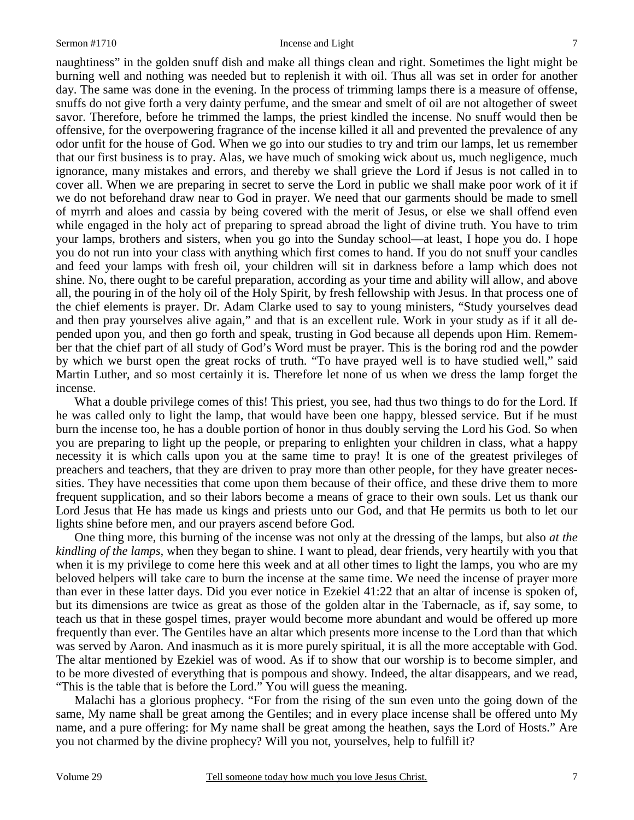naughtiness" in the golden snuff dish and make all things clean and right. Sometimes the light might be burning well and nothing was needed but to replenish it with oil. Thus all was set in order for another day. The same was done in the evening. In the process of trimming lamps there is a measure of offense, snuffs do not give forth a very dainty perfume, and the smear and smelt of oil are not altogether of sweet savor. Therefore, before he trimmed the lamps, the priest kindled the incense. No snuff would then be offensive, for the overpowering fragrance of the incense killed it all and prevented the prevalence of any odor unfit for the house of God. When we go into our studies to try and trim our lamps, let us remember that our first business is to pray. Alas, we have much of smoking wick about us, much negligence, much ignorance, many mistakes and errors, and thereby we shall grieve the Lord if Jesus is not called in to cover all. When we are preparing in secret to serve the Lord in public we shall make poor work of it if we do not beforehand draw near to God in prayer. We need that our garments should be made to smell of myrrh and aloes and cassia by being covered with the merit of Jesus, or else we shall offend even while engaged in the holy act of preparing to spread abroad the light of divine truth. You have to trim your lamps, brothers and sisters, when you go into the Sunday school—at least, I hope you do. I hope you do not run into your class with anything which first comes to hand. If you do not snuff your candles and feed your lamps with fresh oil, your children will sit in darkness before a lamp which does not shine. No, there ought to be careful preparation, according as your time and ability will allow, and above all, the pouring in of the holy oil of the Holy Spirit, by fresh fellowship with Jesus. In that process one of the chief elements is prayer. Dr. Adam Clarke used to say to young ministers, "Study yourselves dead and then pray yourselves alive again," and that is an excellent rule. Work in your study as if it all depended upon you, and then go forth and speak, trusting in God because all depends upon Him. Remember that the chief part of all study of God's Word must be prayer. This is the boring rod and the powder by which we burst open the great rocks of truth. "To have prayed well is to have studied well," said Martin Luther, and so most certainly it is. Therefore let none of us when we dress the lamp forget the incense.

 What a double privilege comes of this! This priest, you see, had thus two things to do for the Lord. If he was called only to light the lamp, that would have been one happy, blessed service. But if he must burn the incense too, he has a double portion of honor in thus doubly serving the Lord his God. So when you are preparing to light up the people, or preparing to enlighten your children in class, what a happy necessity it is which calls upon you at the same time to pray! It is one of the greatest privileges of preachers and teachers, that they are driven to pray more than other people, for they have greater necessities. They have necessities that come upon them because of their office, and these drive them to more frequent supplication, and so their labors become a means of grace to their own souls. Let us thank our Lord Jesus that He has made us kings and priests unto our God, and that He permits us both to let our lights shine before men, and our prayers ascend before God.

 One thing more, this burning of the incense was not only at the dressing of the lamps, but also *at the kindling of the lamps,* when they began to shine. I want to plead, dear friends, very heartily with you that when it is my privilege to come here this week and at all other times to light the lamps, you who are my beloved helpers will take care to burn the incense at the same time. We need the incense of prayer more than ever in these latter days. Did you ever notice in Ezekiel 41:22 that an altar of incense is spoken of, but its dimensions are twice as great as those of the golden altar in the Tabernacle, as if, say some, to teach us that in these gospel times, prayer would become more abundant and would be offered up more frequently than ever. The Gentiles have an altar which presents more incense to the Lord than that which was served by Aaron. And inasmuch as it is more purely spiritual, it is all the more acceptable with God. The altar mentioned by Ezekiel was of wood. As if to show that our worship is to become simpler, and to be more divested of everything that is pompous and showy. Indeed, the altar disappears, and we read, "This is the table that is before the Lord." You will guess the meaning.

 Malachi has a glorious prophecy. "For from the rising of the sun even unto the going down of the same, My name shall be great among the Gentiles; and in every place incense shall be offered unto My name, and a pure offering: for My name shall be great among the heathen, says the Lord of Hosts." Are you not charmed by the divine prophecy? Will you not, yourselves, help to fulfill it?